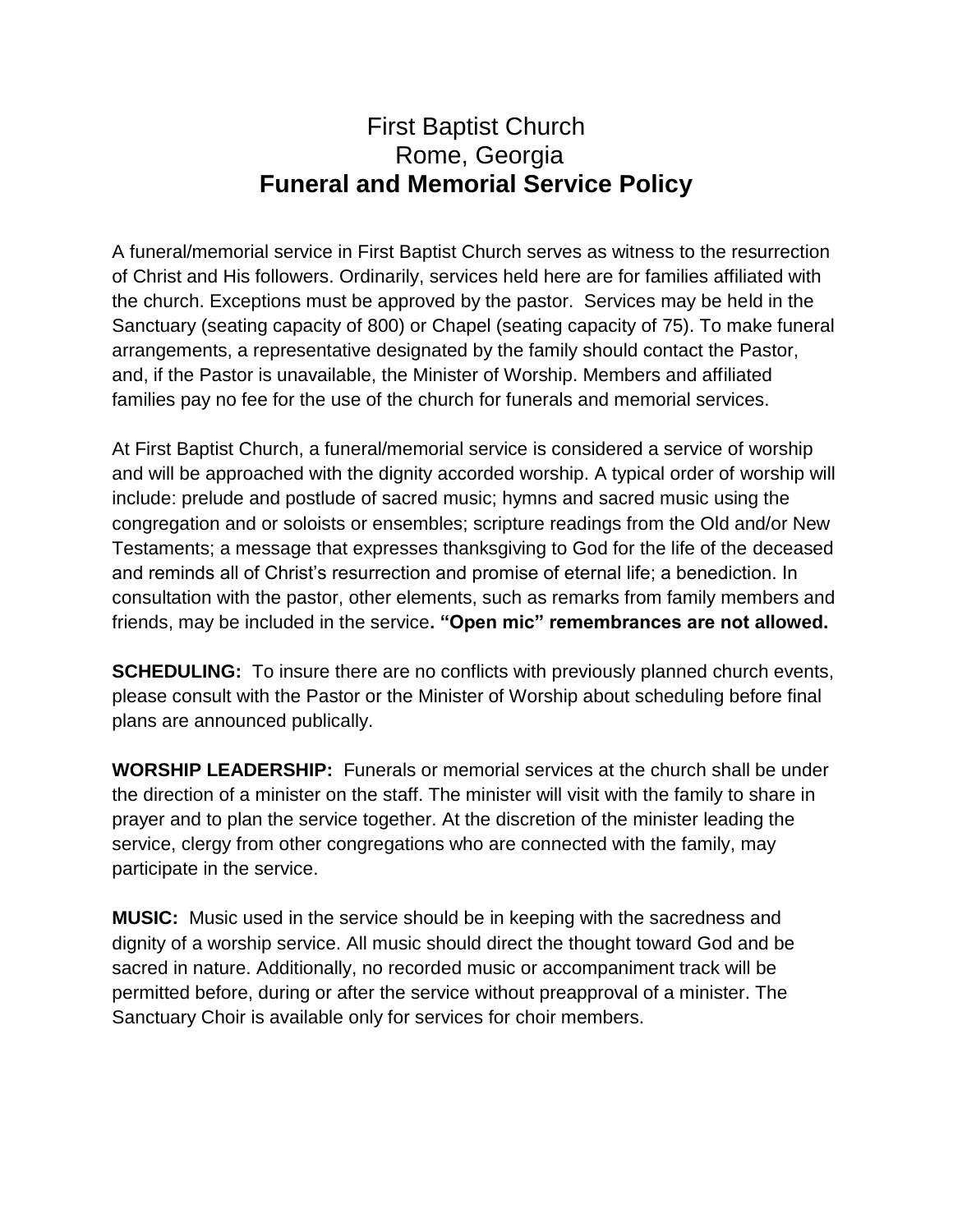## First Baptist Church Rome, Georgia **Funeral and Memorial Service Policy**

A funeral/memorial service in First Baptist Church serves as witness to the resurrection of Christ and His followers. Ordinarily, services held here are for families affiliated with the church. Exceptions must be approved by the pastor. Services may be held in the Sanctuary (seating capacity of 800) or Chapel (seating capacity of 75). To make funeral arrangements, a representative designated by the family should contact the Pastor, and, if the Pastor is unavailable, the Minister of Worship. Members and affiliated families pay no fee for the use of the church for funerals and memorial services.

At First Baptist Church, a funeral/memorial service is considered a service of worship and will be approached with the dignity accorded worship. A typical order of worship will include: prelude and postlude of sacred music; hymns and sacred music using the congregation and or soloists or ensembles; scripture readings from the Old and/or New Testaments; a message that expresses thanksgiving to God for the life of the deceased and reminds all of Christ's resurrection and promise of eternal life; a benediction. In consultation with the pastor, other elements, such as remarks from family members and friends, may be included in the service**. "Open mic" remembrances are not allowed.** 

**SCHEDULING:** To insure there are no conflicts with previously planned church events, please consult with the Pastor or the Minister of Worship about scheduling before final plans are announced publically.

**WORSHIP LEADERSHIP:** Funerals or memorial services at the church shall be under the direction of a minister on the staff. The minister will visit with the family to share in prayer and to plan the service together. At the discretion of the minister leading the service, clergy from other congregations who are connected with the family, may participate in the service.

**MUSIC:** Music used in the service should be in keeping with the sacredness and dignity of a worship service. All music should direct the thought toward God and be sacred in nature. Additionally, no recorded music or accompaniment track will be permitted before, during or after the service without preapproval of a minister. The Sanctuary Choir is available only for services for choir members.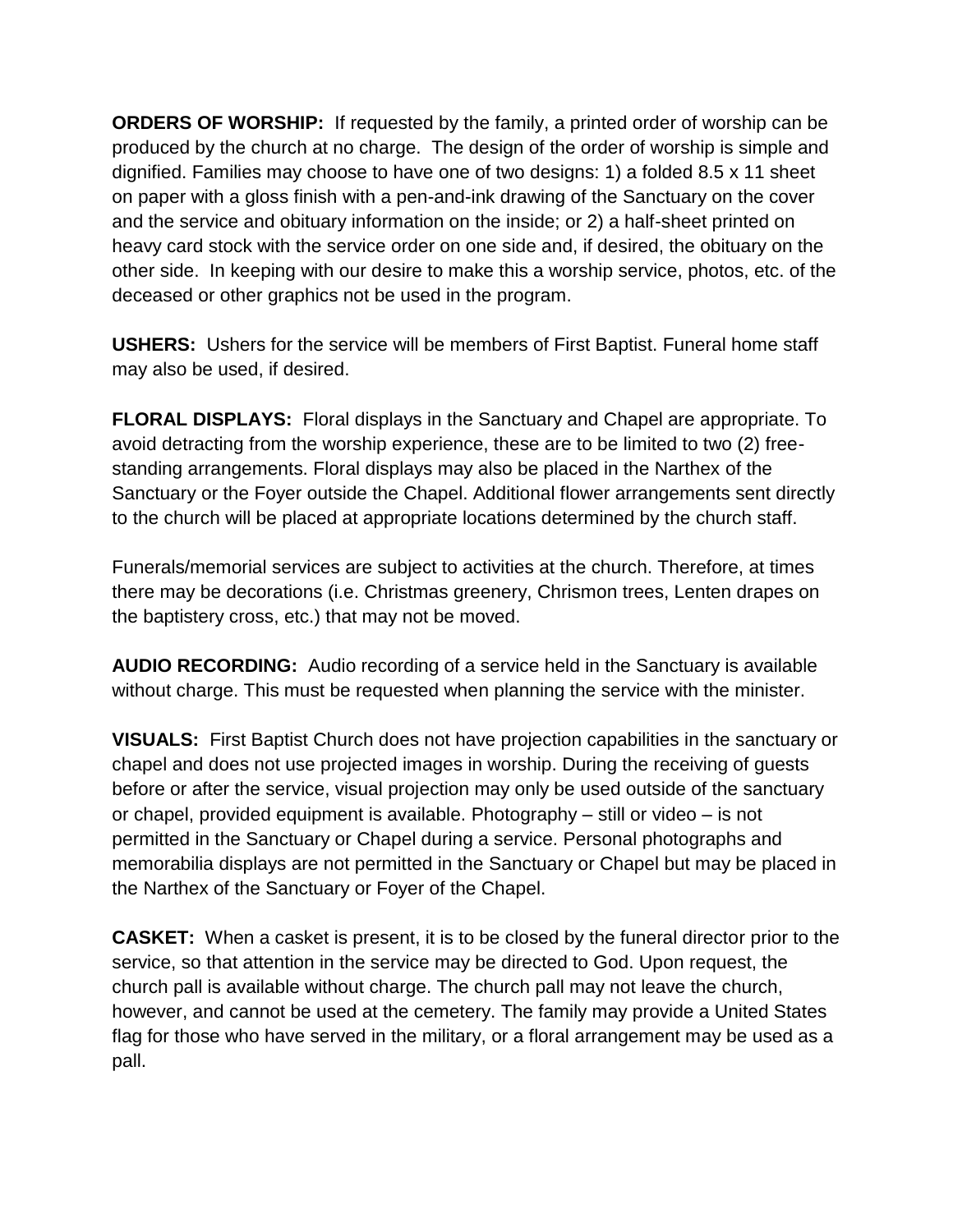**ORDERS OF WORSHIP:** If requested by the family, a printed order of worship can be produced by the church at no charge. The design of the order of worship is simple and dignified. Families may choose to have one of two designs: 1) a folded 8.5 x 11 sheet on paper with a gloss finish with a pen-and-ink drawing of the Sanctuary on the cover and the service and obituary information on the inside; or 2) a half-sheet printed on heavy card stock with the service order on one side and, if desired, the obituary on the other side. In keeping with our desire to make this a worship service, photos, etc. of the deceased or other graphics not be used in the program.

**USHERS:** Ushers for the service will be members of First Baptist. Funeral home staff may also be used, if desired.

**FLORAL DISPLAYS:** Floral displays in the Sanctuary and Chapel are appropriate. To avoid detracting from the worship experience, these are to be limited to two (2) freestanding arrangements. Floral displays may also be placed in the Narthex of the Sanctuary or the Foyer outside the Chapel. Additional flower arrangements sent directly to the church will be placed at appropriate locations determined by the church staff.

Funerals/memorial services are subject to activities at the church. Therefore, at times there may be decorations (i.e. Christmas greenery, Chrismon trees, Lenten drapes on the baptistery cross, etc.) that may not be moved.

**AUDIO RECORDING:** Audio recording of a service held in the Sanctuary is available without charge. This must be requested when planning the service with the minister.

**VISUALS:** First Baptist Church does not have projection capabilities in the sanctuary or chapel and does not use projected images in worship. During the receiving of guests before or after the service, visual projection may only be used outside of the sanctuary or chapel, provided equipment is available. Photography – still or video – is not permitted in the Sanctuary or Chapel during a service. Personal photographs and memorabilia displays are not permitted in the Sanctuary or Chapel but may be placed in the Narthex of the Sanctuary or Foyer of the Chapel.

**CASKET:** When a casket is present, it is to be closed by the funeral director prior to the service, so that attention in the service may be directed to God. Upon request, the church pall is available without charge. The church pall may not leave the church, however, and cannot be used at the cemetery. The family may provide a United States flag for those who have served in the military, or a floral arrangement may be used as a pall.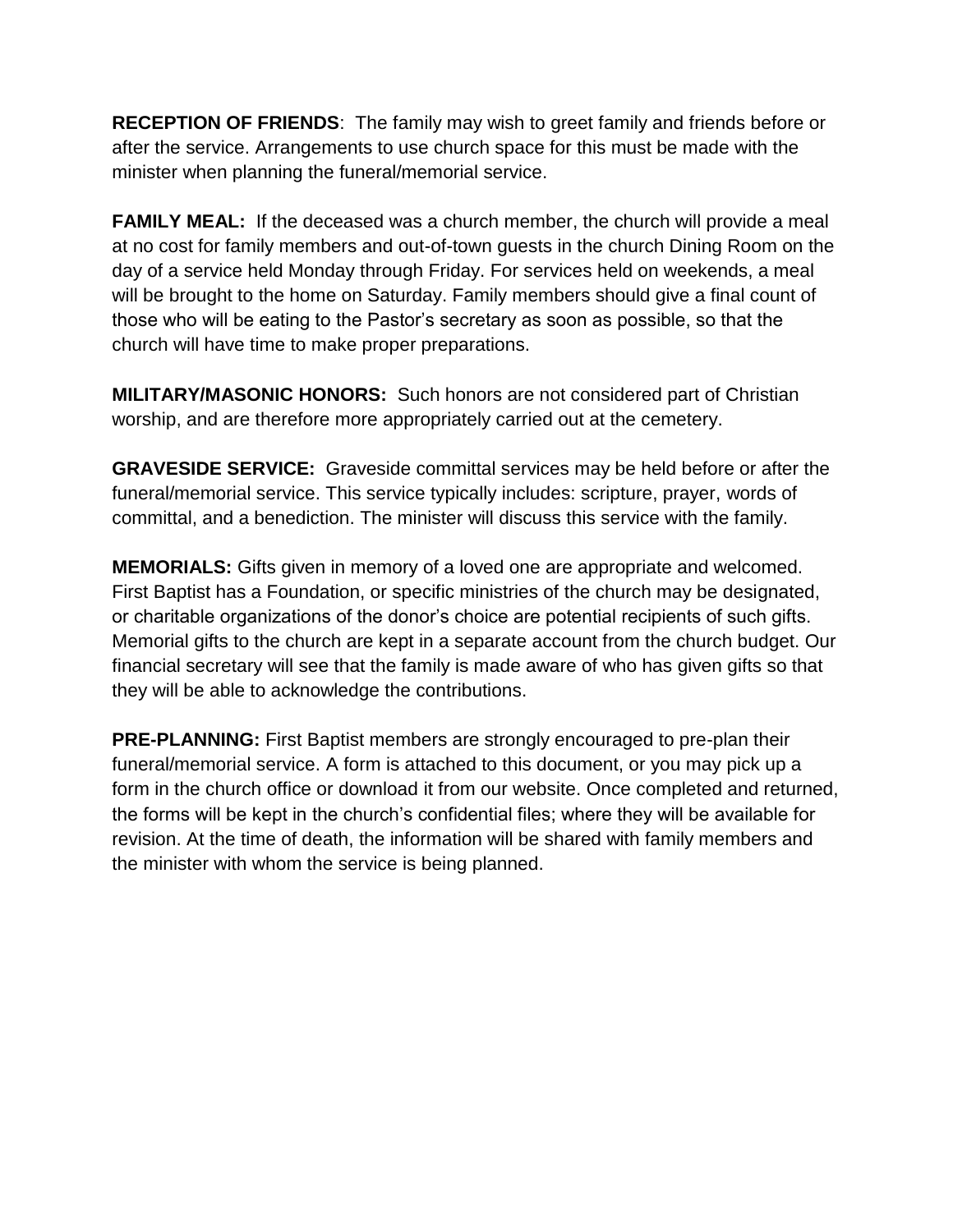**RECEPTION OF FRIENDS**: The family may wish to greet family and friends before or after the service. Arrangements to use church space for this must be made with the minister when planning the funeral/memorial service.

**FAMILY MEAL:** If the deceased was a church member, the church will provide a meal at no cost for family members and out-of-town guests in the church Dining Room on the day of a service held Monday through Friday. For services held on weekends, a meal will be brought to the home on Saturday. Family members should give a final count of those who will be eating to the Pastor's secretary as soon as possible, so that the church will have time to make proper preparations.

**MILITARY/MASONIC HONORS:** Such honors are not considered part of Christian worship, and are therefore more appropriately carried out at the cemetery.

**GRAVESIDE SERVICE:** Graveside committal services may be held before or after the funeral/memorial service. This service typically includes: scripture, prayer, words of committal, and a benediction. The minister will discuss this service with the family.

**MEMORIALS:** Gifts given in memory of a loved one are appropriate and welcomed. First Baptist has a Foundation, or specific ministries of the church may be designated, or charitable organizations of the donor's choice are potential recipients of such gifts. Memorial gifts to the church are kept in a separate account from the church budget. Our financial secretary will see that the family is made aware of who has given gifts so that they will be able to acknowledge the contributions.

**PRE-PLANNING:** First Baptist members are strongly encouraged to pre-plan their funeral/memorial service. A form is attached to this document, or you may pick up a form in the church office or download it from our website. Once completed and returned, the forms will be kept in the church's confidential files; where they will be available for revision. At the time of death, the information will be shared with family members and the minister with whom the service is being planned.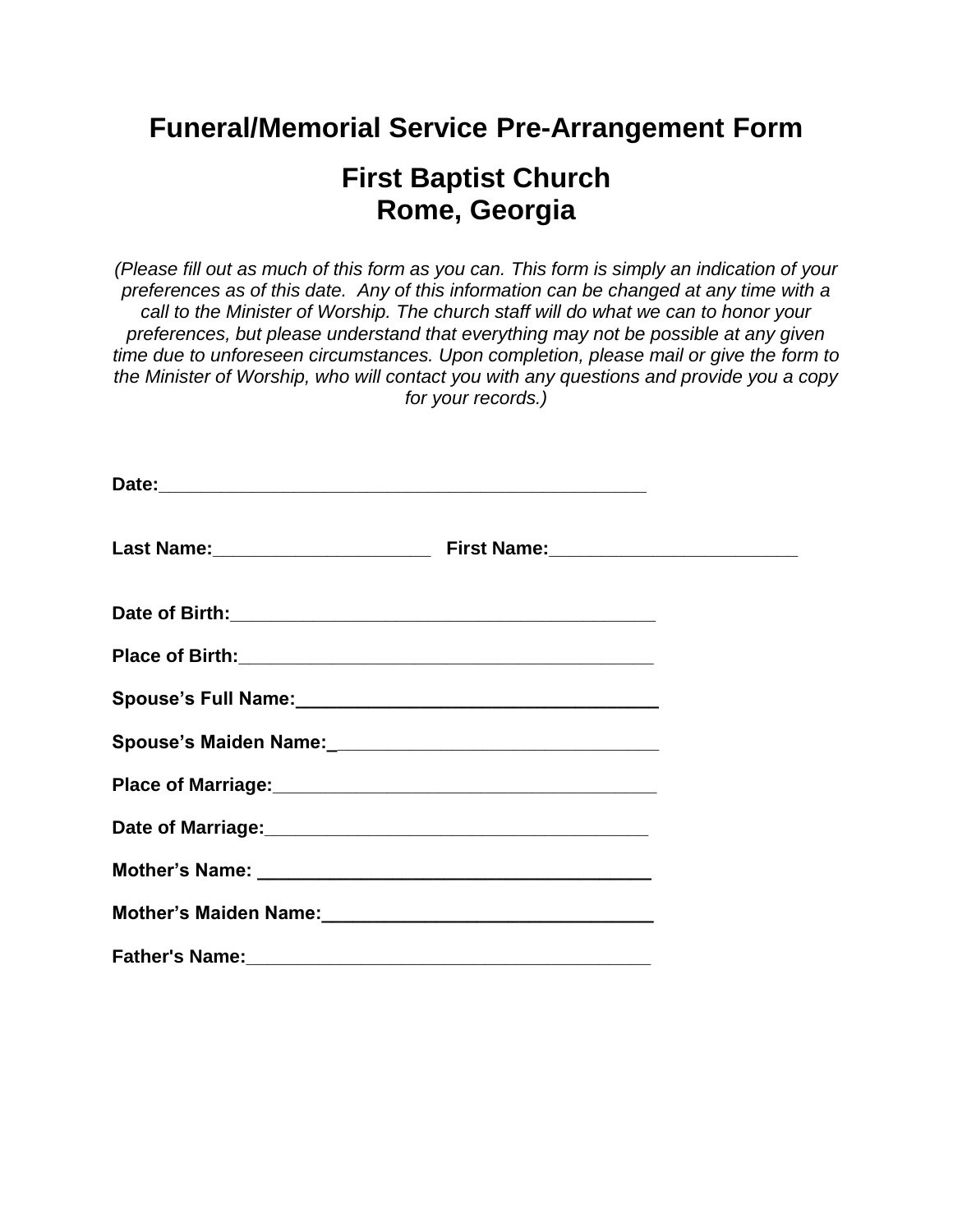# **Funeral/Memorial Service Pre-Arrangement Form**

# **First Baptist Church Rome, Georgia**

*(Please fill out as much of this form as you can. This form is simply an indication of your preferences as of this date. Any of this information can be changed at any time with a call to the Minister of Worship. The church staff will do what we can to honor your preferences, but please understand that everything may not be possible at any given time due to unforeseen circumstances. Upon completion, please mail or give the form to the Minister of Worship, who will contact you with any questions and provide you a copy for your records.)*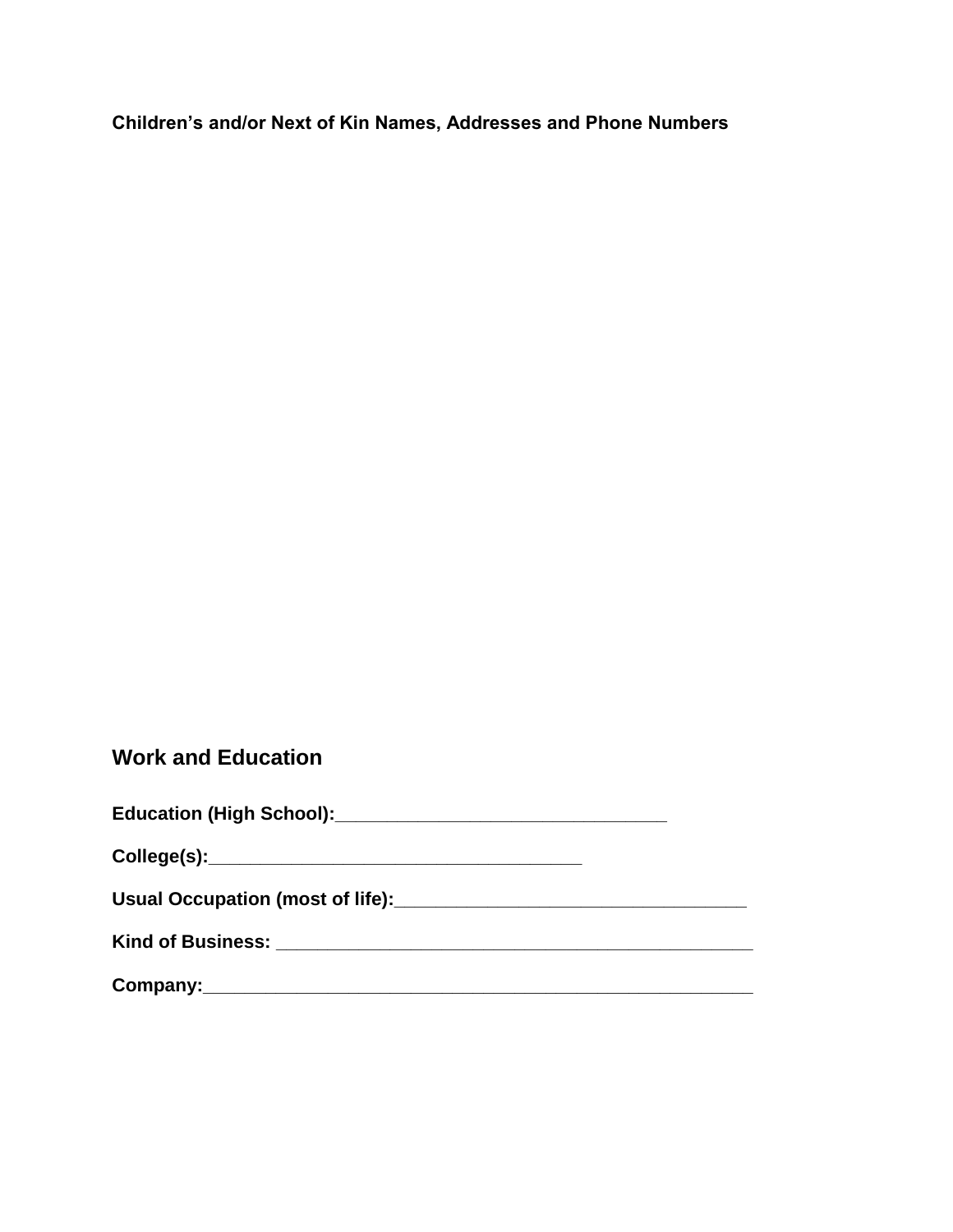**Children's and/or Next of Kin Names, Addresses and Phone Numbers**

### **Work and Education**

| <b>Education (High School):</b> |  |
|---------------------------------|--|
|---------------------------------|--|

**College(s):\_\_\_\_\_\_\_\_\_\_\_\_\_\_\_\_\_\_\_\_\_\_\_\_\_\_\_\_\_\_\_\_\_\_\_\_**

Usual Occupation (most of life): **with any original contract of the set of the set of the set of the set of the set of the set of the set of the set of the set of the set of the set of the set of the set of the set of the** 

**Kind of Business: \_\_\_\_\_\_\_\_\_\_\_\_\_\_\_\_\_\_\_\_\_\_\_\_\_\_\_\_\_\_\_\_\_\_\_\_\_\_\_\_\_\_\_\_\_\_**

**Company:\_\_\_\_\_\_\_\_\_\_\_\_\_\_\_\_\_\_\_\_\_\_\_\_\_\_\_\_\_\_\_\_\_\_\_\_\_\_\_\_\_\_\_\_\_\_\_\_\_\_\_\_\_**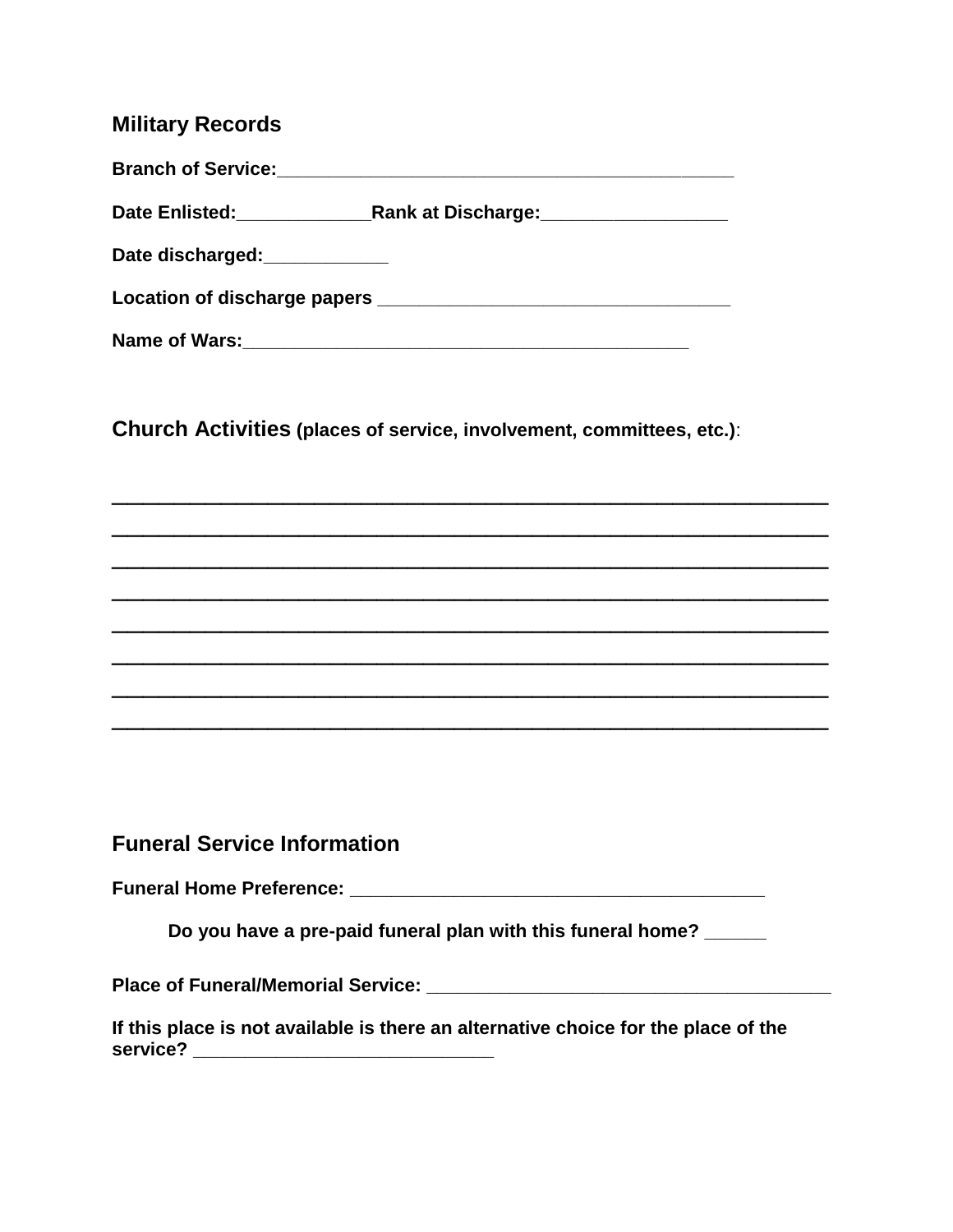#### **Military Records**

| <b>Branch of Service:</b>                              |                                                                                                                                                                                                                                      |
|--------------------------------------------------------|--------------------------------------------------------------------------------------------------------------------------------------------------------------------------------------------------------------------------------------|
| Date Enlisted: __________                              | Rank at Discharge: Nank and Discharge and Discharge and Discharge and Discharge and Disc                                                                                                                                             |
| Date discharged:<br><u>[</u> [11][12] Date discharged: |                                                                                                                                                                                                                                      |
|                                                        | Location of discharge papers <b>contained a set of the set of the set of the set of the set of the set of the set of the set of the set of the set of the set of the set of the set of the set of the set of the set of the set </b> |
| Name of Wars:                                          |                                                                                                                                                                                                                                      |

**Church Activities (places of service, involvement, committees, etc.)**:

\_\_\_\_\_\_\_\_\_\_\_\_\_\_\_\_\_\_\_\_\_\_\_\_\_\_\_\_\_\_\_\_\_\_\_\_\_\_\_\_\_\_\_\_\_\_

\_\_\_\_\_\_\_\_\_\_\_\_\_\_\_\_\_\_\_\_\_\_\_\_\_\_\_\_\_\_\_\_\_\_\_\_\_\_\_\_\_\_\_\_\_\_

 $\overline{\phantom{a}}$  , and the contract of the contract of the contract of the contract of the contract of the contract of the contract of the contract of the contract of the contract of the contract of the contract of the contrac

 $\overline{\phantom{a}}$  , and the contract of the contract of the contract of the contract of the contract of the contract of the contract of the contract of the contract of the contract of the contract of the contract of the contrac

 $\overline{\phantom{a}}$  , and the contract of the contract of the contract of the contract of the contract of the contract of the contract of the contract of the contract of the contract of the contract of the contract of the contrac

\_\_\_\_\_\_\_\_\_\_\_\_\_\_\_\_\_\_\_\_\_\_\_\_\_\_\_\_\_\_\_\_\_\_\_\_\_\_\_\_\_\_\_\_\_\_

\_\_\_\_\_\_\_\_\_\_\_\_\_\_\_\_\_\_\_\_\_\_\_\_\_\_\_\_\_\_\_\_\_\_\_\_\_\_\_\_\_\_\_\_\_\_

\_\_\_\_\_\_\_\_\_\_\_\_\_\_\_\_\_\_\_\_\_\_\_\_\_\_\_\_\_\_\_\_\_\_\_\_\_\_\_\_\_\_\_\_\_\_

**Funeral Service Information**

**Funeral Home Preference: \_\_\_\_\_\_\_\_\_\_\_\_\_\_\_\_\_\_\_\_\_\_\_\_\_\_\_\_\_\_\_\_\_\_\_\_\_\_\_\_**

**Do you have a pre-paid funeral plan with this funeral home? \_\_\_\_\_\_**

**Place of Funeral/Memorial Service: \_\_\_\_\_\_\_\_\_\_\_\_\_\_\_\_\_\_\_\_\_\_\_\_\_\_\_\_\_\_\_\_\_\_\_\_\_\_\_**

**If this place is not available is there an alternative choice for the place of the service? \_\_\_\_\_\_\_\_\_\_\_\_\_\_\_\_\_\_\_\_\_\_\_\_\_\_\_\_\_**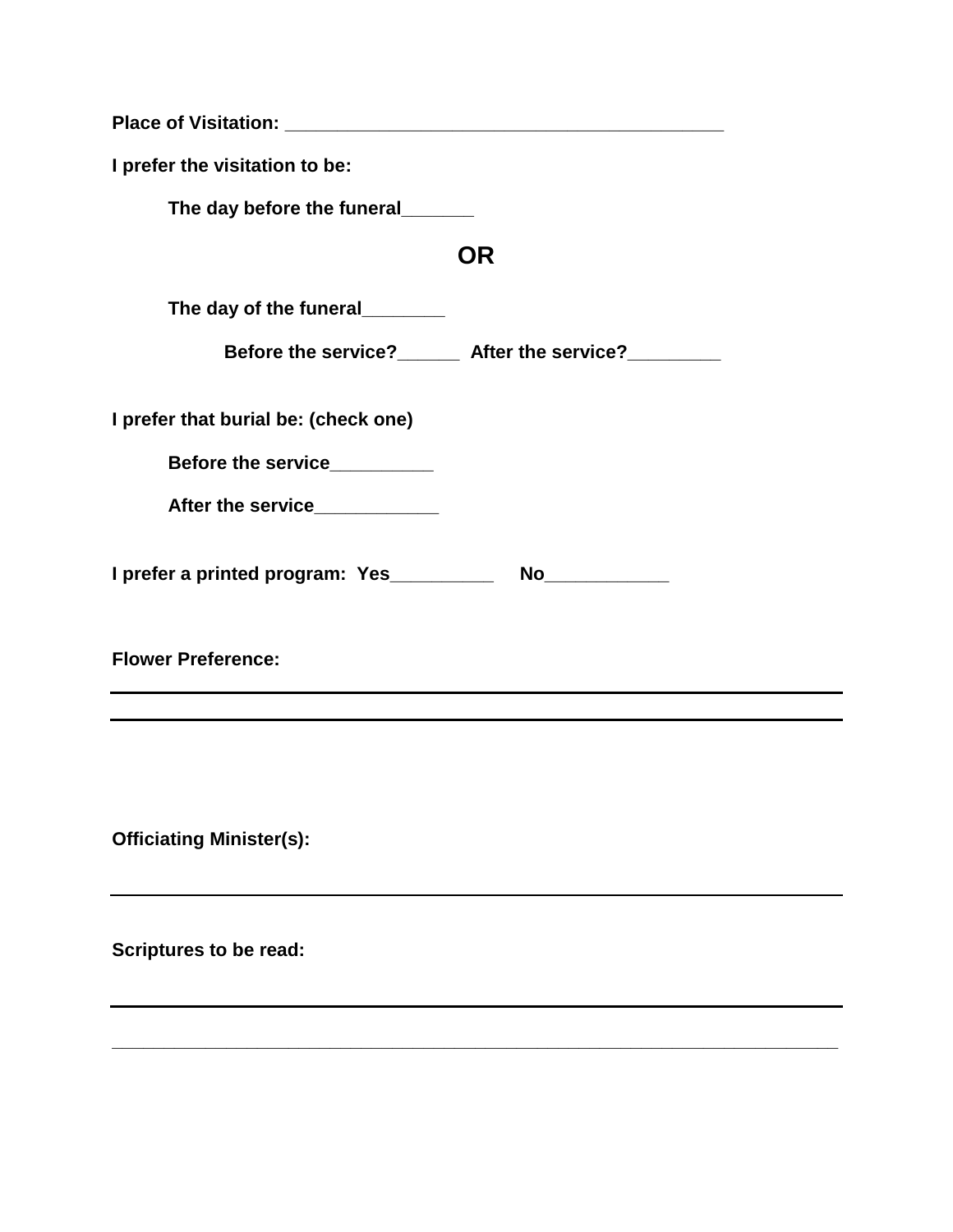| I prefer the visitation to be:                                                          |  |
|-----------------------------------------------------------------------------------------|--|
| The day before the funeral______                                                        |  |
| <b>OR</b>                                                                               |  |
| The day of the funeral________                                                          |  |
| Before the service?______ After the service?________                                    |  |
| I prefer that burial be: (check one)                                                    |  |
| Before the service__________                                                            |  |
| After the service____________                                                           |  |
|                                                                                         |  |
| <b>Flower Preference:</b><br><u> 1980 - Johann Barn, amerikansk politiker (d. 1980)</u> |  |
|                                                                                         |  |
| <b>Officiating Minister(s):</b>                                                         |  |
| <b>Scriptures to be read:</b>                                                           |  |
|                                                                                         |  |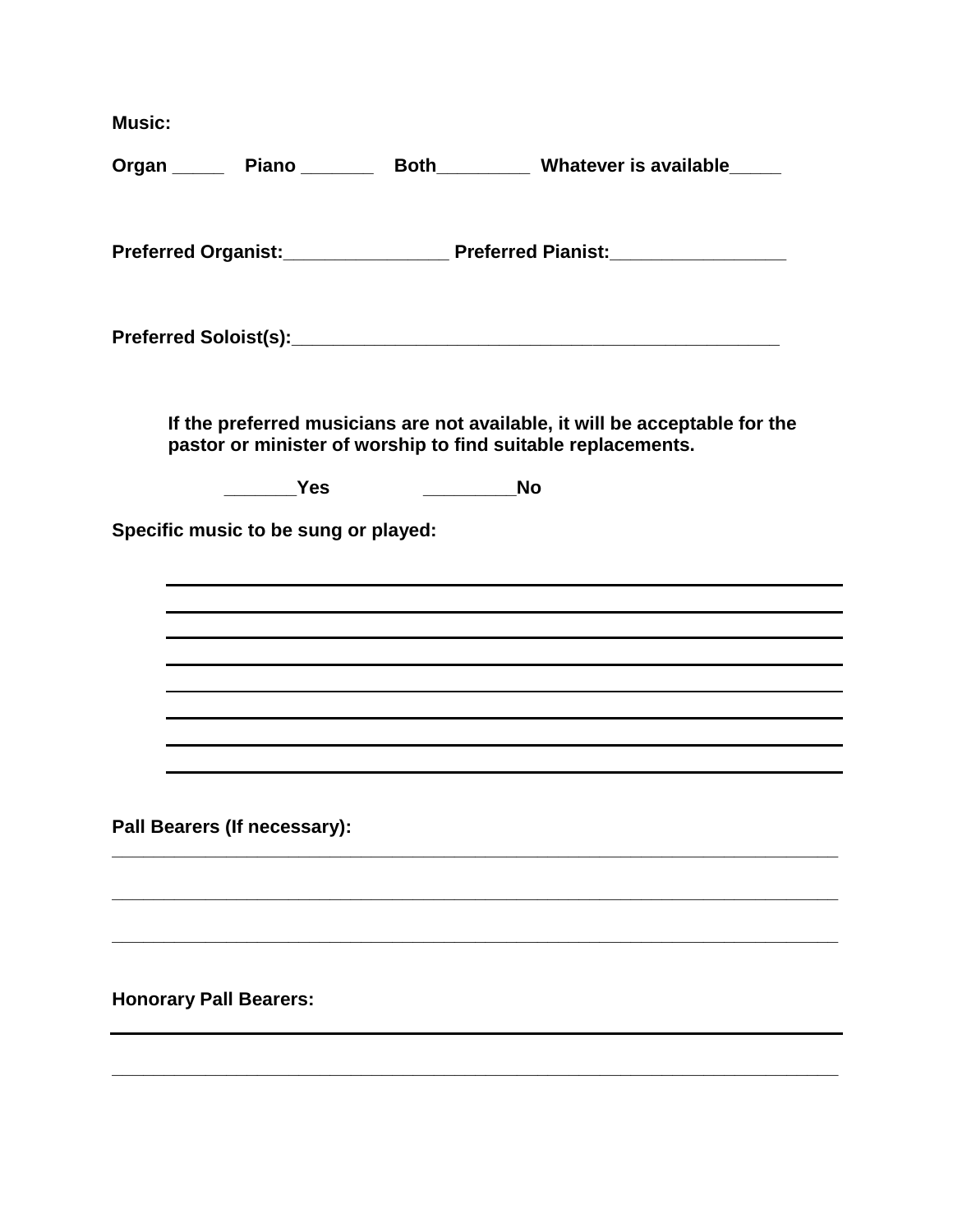**Music:**

|                                      |                          | Organ ______ Piano ________ Both_________ Whatever is available_____                                                                        |
|--------------------------------------|--------------------------|---------------------------------------------------------------------------------------------------------------------------------------------|
|                                      |                          |                                                                                                                                             |
|                                      |                          |                                                                                                                                             |
|                                      |                          |                                                                                                                                             |
|                                      |                          | If the preferred musicians are not available, it will be acceptable for the<br>pastor or minister of worship to find suitable replacements. |
|                                      | $\rule{1em}{0.15mm}$ Yes |                                                                                                                                             |
| Specific music to be sung or played: |                          |                                                                                                                                             |
|                                      |                          |                                                                                                                                             |
|                                      |                          | ,我们也不会有什么。""我们的人,我们也不会有什么?""我们的人,我们也不会有什么?""我们的人,我们也不会有什么?""我们的人,我们也不会有什么?""我们的人                                                            |
|                                      |                          |                                                                                                                                             |
|                                      |                          | ,我们也不会有什么。""我们的人,我们也不会有什么?""我们的人,我们也不会有什么?""我们的人,我们也不会有什么?""我们的人,我们也不会有什么?""我们的人                                                            |
|                                      |                          |                                                                                                                                             |
|                                      |                          |                                                                                                                                             |
|                                      |                          |                                                                                                                                             |
| Pall Bearers (If necessary):         |                          |                                                                                                                                             |
|                                      |                          |                                                                                                                                             |
| <b>Honorary Pall Bearers:</b>        |                          |                                                                                                                                             |
|                                      |                          |                                                                                                                                             |
|                                      |                          |                                                                                                                                             |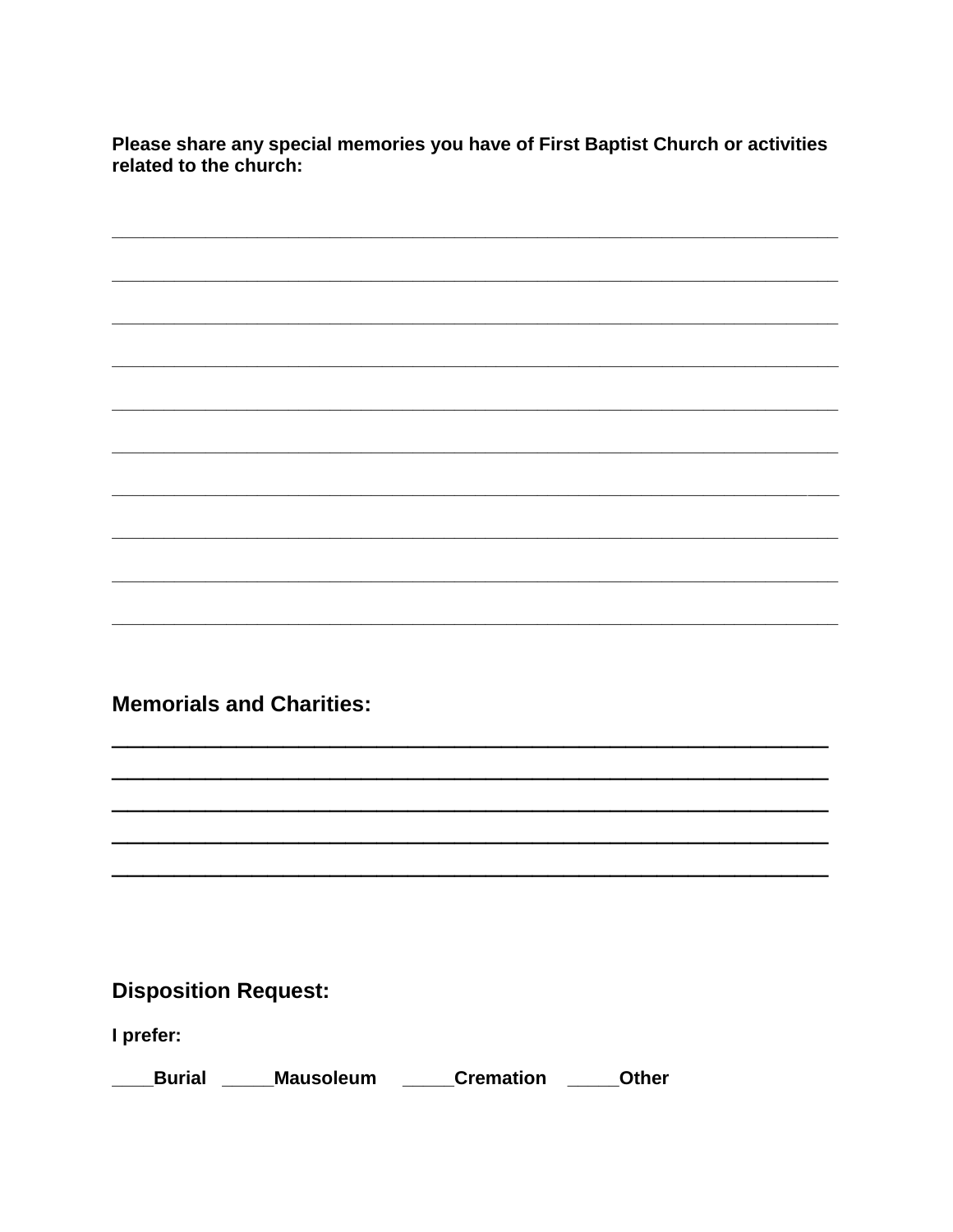Please share any special memories you have of First Baptist Church or activities related to the church:

**Memorials and Charities:** 

### **Disposition Request:**

I prefer:

| <b>Burial</b><br><b>Mausoleum</b> | <b>Cremation</b> | <b>Other</b> |
|-----------------------------------|------------------|--------------|
|-----------------------------------|------------------|--------------|